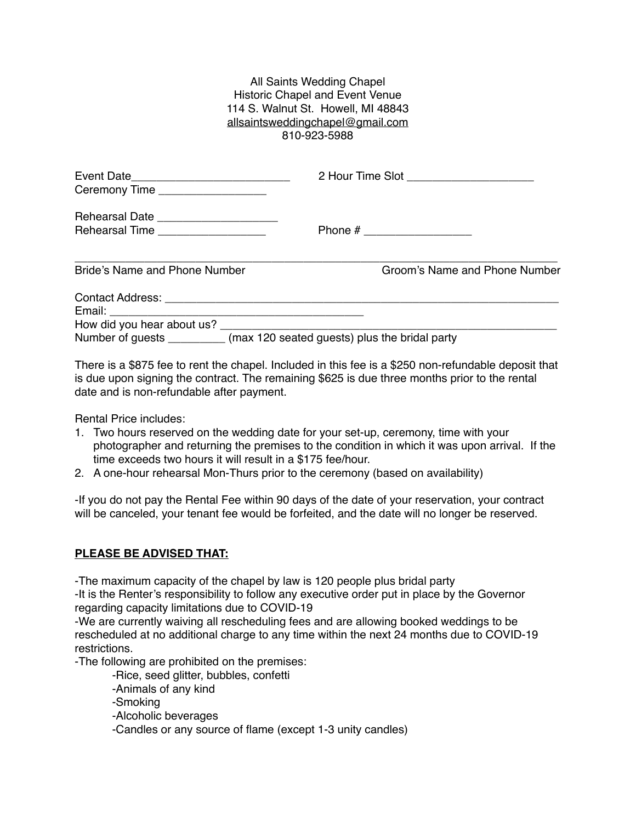## All Saints Wedding Chapel Historic Chapel and Event Venue 114 S. Walnut St. Howell, MI 48843 [allsaintsweddingchapel@gmail.com](mailto:allsaintsweddingchapel@gmail.com) 810-923-5988

| Ceremony Time ____________________                                            |                                                                          | 2 Hour Time Slot _______________________ |
|-------------------------------------------------------------------------------|--------------------------------------------------------------------------|------------------------------------------|
| Rehearsal Date _______________________<br>Rehearsal Time ____________________ |                                                                          |                                          |
| <b>Bride's Name and Phone Number</b>                                          |                                                                          | Groom's Name and Phone Number            |
|                                                                               |                                                                          |                                          |
|                                                                               | Number of guests _________ (max 120 seated guests) plus the bridal party |                                          |

There is a \$875 fee to rent the chapel. Included in this fee is a \$250 non-refundable deposit that is due upon signing the contract. The remaining \$625 is due three months prior to the rental date and is non-refundable after payment.

Rental Price includes:

- 1. Two hours reserved on the wedding date for your set-up, ceremony, time with your photographer and returning the premises to the condition in which it was upon arrival. If the time exceeds two hours it will result in a \$175 fee/hour.
- 2. A one-hour rehearsal Mon-Thurs prior to the ceremony (based on availability)

-If you do not pay the Rental Fee within 90 days of the date of your reservation, your contract will be canceled, your tenant fee would be forfeited, and the date will no longer be reserved.

## **PLEASE BE ADVISED THAT:**

-The maximum capacity of the chapel by law is 120 people plus bridal party

-It is the Renter's responsibility to follow any executive order put in place by the Governor regarding capacity limitations due to COVID-19

-We are currently waiving all rescheduling fees and are allowing booked weddings to be rescheduled at no additional charge to any time within the next 24 months due to COVID-19 restrictions.

-The following are prohibited on the premises:

-Rice, seed glitter, bubbles, confetti

-Animals of any kind

-Smoking

-Alcoholic beverages

-Candles or any source of flame (except 1-3 unity candles)